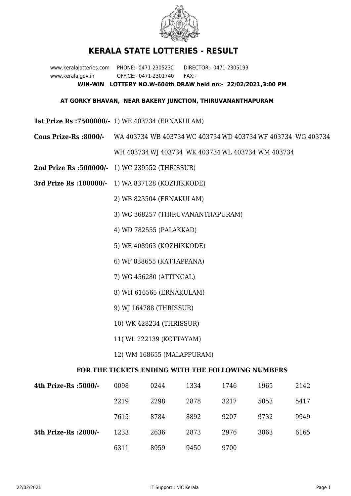

## **KERALA STATE LOTTERIES - RESULT**

www.keralalotteries.com PHONE:- 0471-2305230 DIRECTOR:- 0471-2305193 www.kerala.gov.in OFFICE:- 0471-2301740 FAX:- **WIN-WIN LOTTERY NO.W-604th DRAW held on:- 22/02/2021,3:00 PM**

## **AT GORKY BHAVAN, NEAR BAKERY JUNCTION, THIRUVANANTHAPURAM**

- **1st Prize Rs :7500000/-** 1) WE 403734 (ERNAKULAM)
- **Cons Prize-Rs :8000/-** WA 403734 WB 403734 WC 403734 WD 403734 WF 403734 WG 403734

WH 403734 WJ 403734 WK 403734 WL 403734 WM 403734

- **2nd Prize Rs :500000/-** 1) WC 239552 (THRISSUR)
- **3rd Prize Rs :100000/-** 1) WA 837128 (KOZHIKKODE)

2) WB 823504 (ERNAKULAM)

- 3) WC 368257 (THIRUVANANTHAPURAM)
- 4) WD 782555 (PALAKKAD)
- 5) WE 408963 (KOZHIKKODE)
- 6) WF 838655 (KATTAPPANA)
- 7) WG 456280 (ATTINGAL)
- 8) WH 616565 (ERNAKULAM)
- 9) WJ 164788 (THRISSUR)
- 10) WK 428234 (THRISSUR)
- 11) WL 222139 (KOTTAYAM)
- 12) WM 168655 (MALAPPURAM)

## **FOR THE TICKETS ENDING WITH THE FOLLOWING NUMBERS**

| 4th Prize-Rs :5000/-  | 0098 | 0244 | 1334 | 1746 | 1965 | 2142 |
|-----------------------|------|------|------|------|------|------|
|                       | 2219 | 2298 | 2878 | 3217 | 5053 | 5417 |
|                       | 7615 | 8784 | 8892 | 9207 | 9732 | 9949 |
| 5th Prize-Rs : 2000/- | 1233 | 2636 | 2873 | 2976 | 3863 | 6165 |
|                       | 6311 | 8959 | 9450 | 9700 |      |      |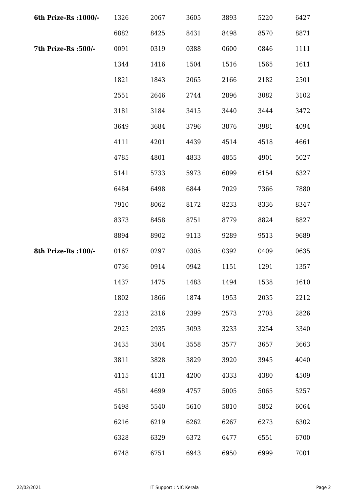| 6th Prize-Rs : 1000/- | 1326 | 2067 | 3605 | 3893 | 5220 | 6427 |
|-----------------------|------|------|------|------|------|------|
|                       | 6882 | 8425 | 8431 | 8498 | 8570 | 8871 |
| 7th Prize-Rs :500/-   | 0091 | 0319 | 0388 | 0600 | 0846 | 1111 |
|                       | 1344 | 1416 | 1504 | 1516 | 1565 | 1611 |
|                       | 1821 | 1843 | 2065 | 2166 | 2182 | 2501 |
|                       | 2551 | 2646 | 2744 | 2896 | 3082 | 3102 |
|                       | 3181 | 3184 | 3415 | 3440 | 3444 | 3472 |
|                       | 3649 | 3684 | 3796 | 3876 | 3981 | 4094 |
|                       | 4111 | 4201 | 4439 | 4514 | 4518 | 4661 |
|                       | 4785 | 4801 | 4833 | 4855 | 4901 | 5027 |
|                       | 5141 | 5733 | 5973 | 6099 | 6154 | 6327 |
|                       | 6484 | 6498 | 6844 | 7029 | 7366 | 7880 |
|                       | 7910 | 8062 | 8172 | 8233 | 8336 | 8347 |
|                       | 8373 | 8458 | 8751 | 8779 | 8824 | 8827 |
|                       | 8894 | 8902 | 9113 | 9289 | 9513 | 9689 |
| 8th Prize-Rs : 100/-  | 0167 | 0297 | 0305 | 0392 | 0409 | 0635 |
|                       | 0736 | 0914 | 0942 | 1151 | 1291 | 1357 |
|                       | 1437 | 1475 | 1483 | 1494 | 1538 | 1610 |
|                       | 1802 | 1866 | 1874 | 1953 | 2035 | 2212 |
|                       | 2213 | 2316 | 2399 | 2573 | 2703 | 2826 |
|                       | 2925 | 2935 | 3093 | 3233 | 3254 | 3340 |
|                       | 3435 | 3504 | 3558 | 3577 | 3657 | 3663 |
|                       | 3811 | 3828 | 3829 | 3920 | 3945 | 4040 |
|                       | 4115 | 4131 | 4200 | 4333 | 4380 | 4509 |
|                       | 4581 | 4699 | 4757 | 5005 | 5065 | 5257 |
|                       | 5498 | 5540 | 5610 | 5810 | 5852 | 6064 |
|                       | 6216 | 6219 | 6262 | 6267 | 6273 | 6302 |
|                       | 6328 | 6329 | 6372 | 6477 | 6551 | 6700 |
|                       | 6748 | 6751 | 6943 | 6950 | 6999 | 7001 |